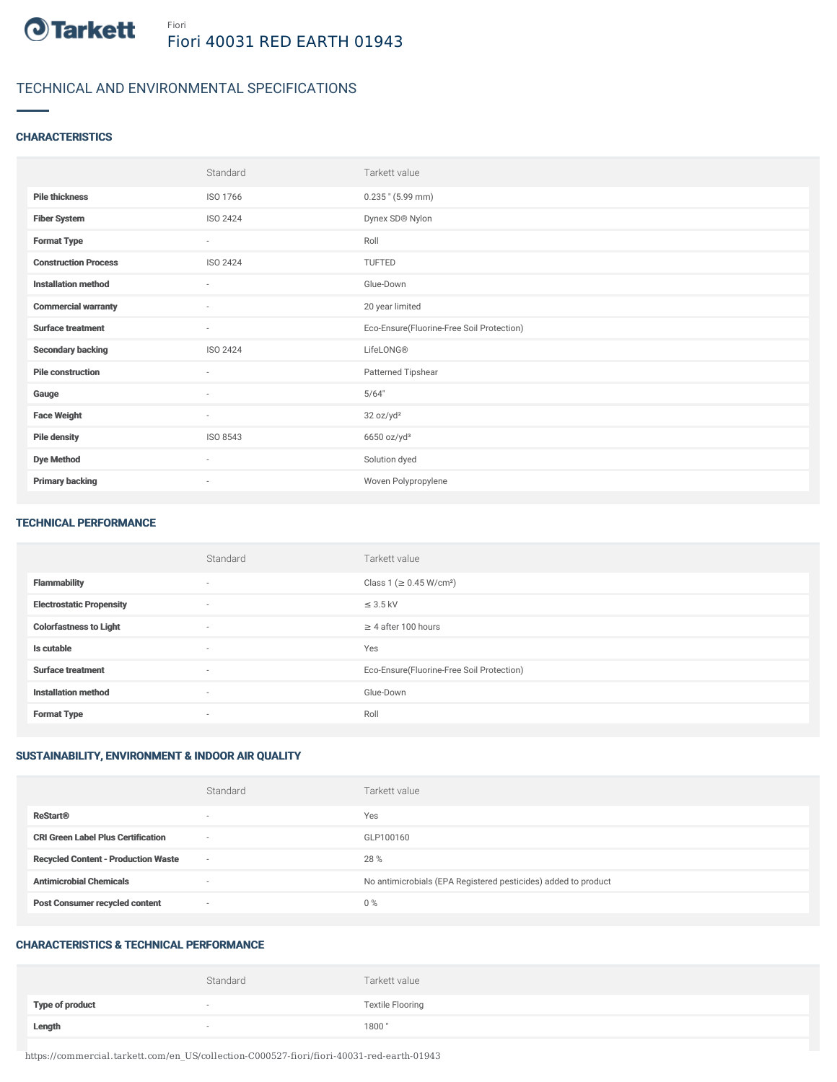

# TECHNICAL AND ENVIRONMENTAL SPECIFICATIONS

### **CHARACTERISTICS**

|                             | Standard                 | Tarkett value                             |
|-----------------------------|--------------------------|-------------------------------------------|
| <b>Pile thickness</b>       | ISO 1766                 | $0.235$ " (5.99 mm)                       |
| <b>Fiber System</b>         | ISO 2424                 | Dynex SD® Nylon                           |
| <b>Format Type</b>          | $\sim$                   | Roll                                      |
| <b>Construction Process</b> | ISO 2424                 | TUFTED                                    |
| <b>Installation method</b>  | $\sim$                   | Glue-Down                                 |
| <b>Commercial warranty</b>  | $\sim$                   | 20 year limited                           |
| <b>Surface treatment</b>    | $\sim$                   | Eco-Ensure(Fluorine-Free Soil Protection) |
| <b>Secondary backing</b>    | ISO 2424                 | LifeLONG®                                 |
| <b>Pile construction</b>    | $\sim$                   | Patterned Tipshear                        |
| Gauge                       | $\overline{\phantom{a}}$ | 5/64"                                     |
| <b>Face Weight</b>          | $\sim$                   | 32 oz/yd <sup>2</sup>                     |
| <b>Pile density</b>         | ISO 8543                 | 6650 oz/yd <sup>3</sup>                   |
| <b>Dye Method</b>           | $\sim$                   | Solution dyed                             |
| <b>Primary backing</b>      | $\overline{\phantom{a}}$ | Woven Polypropylene                       |

#### TECHNICAL PERFORMANCE

|                                 | Standard                 | Tarkett value                             |
|---------------------------------|--------------------------|-------------------------------------------|
| <b>Flammability</b>             | $\sim$                   | Class 1 ( $\geq$ 0.45 W/cm <sup>2</sup> ) |
| <b>Electrostatic Propensity</b> | $\overline{\phantom{a}}$ | $\leq$ 3.5 kV                             |
| <b>Colorfastness to Light</b>   | $\sim$                   | $\geq$ 4 after 100 hours                  |
| Is cutable                      | $\sim$                   | Yes                                       |
| <b>Surface treatment</b>        | $\sim$                   | Eco-Ensure(Fluorine-Free Soil Protection) |
| <b>Installation method</b>      | $\sim$                   | Glue-Down                                 |
| <b>Format Type</b>              | $\sim$                   | Roll                                      |

## SUSTAINABILITY, ENVIRONMENT & INDOOR AIR QUALITY

|                                            | Standard                 | Tarkett value                                                  |
|--------------------------------------------|--------------------------|----------------------------------------------------------------|
| <b>ReStart®</b>                            | $\overline{\phantom{a}}$ | Yes                                                            |
| <b>CRI Green Label Plus Certification</b>  | $\overline{\phantom{a}}$ | GLP100160                                                      |
| <b>Recycled Content - Production Waste</b> | $\overline{\phantom{a}}$ | 28 %                                                           |
| <b>Antimicrobial Chemicals</b>             | <b>1999</b>              | No antimicrobials (EPA Registered pesticides) added to product |
| <b>Post Consumer recycled content</b>      | $\overline{\phantom{a}}$ | $0\%$                                                          |

#### CHARACTERISTICS & TECHNICAL PERFORMANCE

|                        | Standard                 | Tarkett value           |
|------------------------|--------------------------|-------------------------|
| <b>Type of product</b> | $\overline{\phantom{a}}$ | <b>Textile Flooring</b> |
| Length                 |                          | 1800"                   |

https://commercial.tarkett.com/en\_US/collection-C000527-fiori/fiori-40031-red-earth-01943